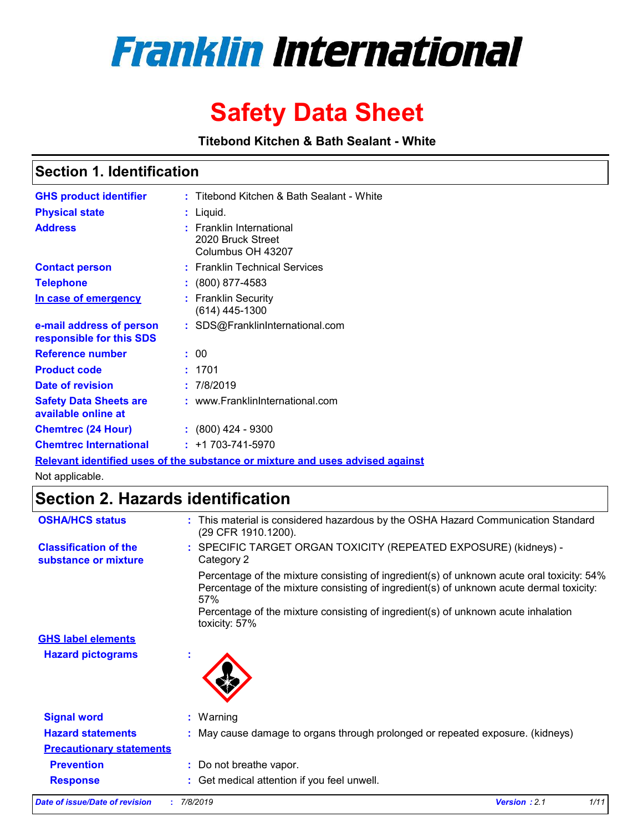

# **Safety Data Sheet**

**Titebond Kitchen & Bath Sealant - White**

### **Section 1. Identification**

| <b>GHS product identifier</b>                        | : Titebond Kitchen & Bath Sealant - White                          |
|------------------------------------------------------|--------------------------------------------------------------------|
| <b>Physical state</b>                                | : Liquid.                                                          |
| <b>Address</b>                                       | : Franklin International<br>2020 Bruck Street<br>Columbus OH 43207 |
| <b>Contact person</b>                                | : Franklin Technical Services                                      |
| <b>Telephone</b>                                     | $\colon$ (800) 877-4583                                            |
| In case of emergency                                 | : Franklin Security<br>(614) 445-1300                              |
| e-mail address of person<br>responsible for this SDS | : SDS@FranklinInternational.com                                    |
| Reference number                                     | : 00                                                               |
| <b>Product code</b>                                  | : 1701                                                             |
| Date of revision                                     | : 7/8/2019                                                         |
| <b>Safety Data Sheets are</b><br>available online at | : www.FranklinInternational.com                                    |
| <b>Chemtrec (24 Hour)</b>                            | $: (800)$ 424 - 9300                                               |
| <b>Chemtrec International</b>                        | $: +1703 - 741 - 5970$                                             |

**Relevant identified uses of the substance or mixture and uses advised against**

Not applicable.

### **Section 2. Hazards identification**

| <b>OSHA/HCS status</b>                               | : This material is considered hazardous by the OSHA Hazard Communication Standard<br>(29 CFR 1910.1200).                                                                                                                                                                                          |
|------------------------------------------------------|---------------------------------------------------------------------------------------------------------------------------------------------------------------------------------------------------------------------------------------------------------------------------------------------------|
| <b>Classification of the</b><br>substance or mixture | : SPECIFIC TARGET ORGAN TOXICITY (REPEATED EXPOSURE) (kidneys) -<br>Category 2                                                                                                                                                                                                                    |
|                                                      | Percentage of the mixture consisting of ingredient(s) of unknown acute oral toxicity: 54%<br>Percentage of the mixture consisting of ingredient(s) of unknown acute dermal toxicity:<br>57%<br>Percentage of the mixture consisting of ingredient(s) of unknown acute inhalation<br>toxicity: 57% |
| <b>GHS label elements</b>                            |                                                                                                                                                                                                                                                                                                   |
| <b>Hazard pictograms</b>                             |                                                                                                                                                                                                                                                                                                   |
| <b>Signal word</b>                                   | $:$ Warning                                                                                                                                                                                                                                                                                       |
| <b>Hazard statements</b>                             | : May cause damage to organs through prolonged or repeated exposure. (kidneys)                                                                                                                                                                                                                    |
| <b>Precautionary statements</b>                      |                                                                                                                                                                                                                                                                                                   |
| <b>Prevention</b>                                    | : Do not breathe vapor.                                                                                                                                                                                                                                                                           |
| <b>Response</b>                                      | : Get medical attention if you feel unwell.                                                                                                                                                                                                                                                       |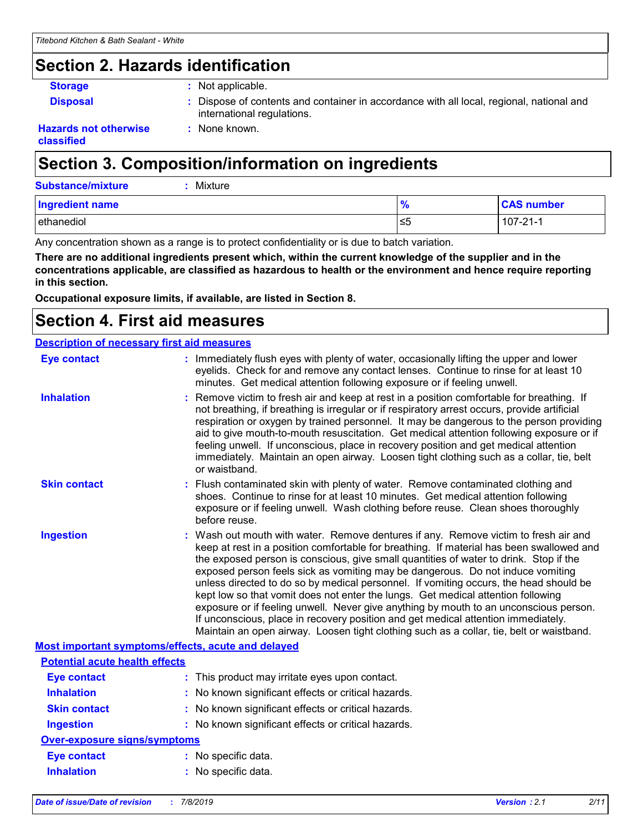### **Section 2. Hazards identification**

- 
- **Storage 19 Storage 19 Storage 19 Storage 19 Storage 19 Storage 19 Storage 19 Storage 19 Storage 19 Storage 19 Storage 19 Storage 19 Storage 19 Storage 19 Storage 19 Storage 19 Storage 19 Storage 19 Storage 19 Storage 19 S**

**:** None known.

**Disposal :** Dispose of contents and container in accordance with all local, regional, national and international regulations.

#### **Hazards not otherwise classified**

# **Section 3. Composition/information on ingredients**

| <b>Substance/mixture</b><br>Mixture |               |                   |
|-------------------------------------|---------------|-------------------|
| Ingredient name                     | $\frac{9}{6}$ | <b>CAS number</b> |
| ethanediol                          | 1≤5           | $107 - 21 - 1$    |

Any concentration shown as a range is to protect confidentiality or is due to batch variation.

**There are no additional ingredients present which, within the current knowledge of the supplier and in the concentrations applicable, are classified as hazardous to health or the environment and hence require reporting in this section.**

**Occupational exposure limits, if available, are listed in Section 8.**

### **Section 4. First aid measures**

| <b>Description of necessary first aid measures</b> |                           |
|----------------------------------------------------|---------------------------|
| Eve contact                                        | $:$ Immediately flush eve |

| <b>Eye contact</b>                                        | : Immediately flush eyes with plenty of water, occasionally lifting the upper and lower<br>eyelids. Check for and remove any contact lenses. Continue to rinse for at least 10<br>minutes. Get medical attention following exposure or if feeling unwell.                                                                                                                                                                                                                                                                                                                                                                                                                                                                                                                                                         |
|-----------------------------------------------------------|-------------------------------------------------------------------------------------------------------------------------------------------------------------------------------------------------------------------------------------------------------------------------------------------------------------------------------------------------------------------------------------------------------------------------------------------------------------------------------------------------------------------------------------------------------------------------------------------------------------------------------------------------------------------------------------------------------------------------------------------------------------------------------------------------------------------|
| <b>Inhalation</b>                                         | : Remove victim to fresh air and keep at rest in a position comfortable for breathing. If<br>not breathing, if breathing is irregular or if respiratory arrest occurs, provide artificial<br>respiration or oxygen by trained personnel. It may be dangerous to the person providing<br>aid to give mouth-to-mouth resuscitation. Get medical attention following exposure or if<br>feeling unwell. If unconscious, place in recovery position and get medical attention<br>immediately. Maintain an open airway. Loosen tight clothing such as a collar, tie, belt<br>or waistband.                                                                                                                                                                                                                              |
| <b>Skin contact</b>                                       | : Flush contaminated skin with plenty of water. Remove contaminated clothing and<br>shoes. Continue to rinse for at least 10 minutes. Get medical attention following<br>exposure or if feeling unwell. Wash clothing before reuse. Clean shoes thoroughly<br>before reuse.                                                                                                                                                                                                                                                                                                                                                                                                                                                                                                                                       |
| <b>Ingestion</b>                                          | : Wash out mouth with water. Remove dentures if any. Remove victim to fresh air and<br>keep at rest in a position comfortable for breathing. If material has been swallowed and<br>the exposed person is conscious, give small quantities of water to drink. Stop if the<br>exposed person feels sick as vomiting may be dangerous. Do not induce vomiting<br>unless directed to do so by medical personnel. If vomiting occurs, the head should be<br>kept low so that vomit does not enter the lungs. Get medical attention following<br>exposure or if feeling unwell. Never give anything by mouth to an unconscious person.<br>If unconscious, place in recovery position and get medical attention immediately.<br>Maintain an open airway. Loosen tight clothing such as a collar, tie, belt or waistband. |
| <b>Most important symptoms/effects, acute and delayed</b> |                                                                                                                                                                                                                                                                                                                                                                                                                                                                                                                                                                                                                                                                                                                                                                                                                   |
| <b>Potential acute health effects</b>                     |                                                                                                                                                                                                                                                                                                                                                                                                                                                                                                                                                                                                                                                                                                                                                                                                                   |
| <b>Eye contact</b>                                        | : This product may irritate eyes upon contact.                                                                                                                                                                                                                                                                                                                                                                                                                                                                                                                                                                                                                                                                                                                                                                    |
| <b>Inhalation</b>                                         | : No known significant effects or critical hazards.                                                                                                                                                                                                                                                                                                                                                                                                                                                                                                                                                                                                                                                                                                                                                               |
| <b>Skin contact</b>                                       | : No known significant effects or critical hazards.                                                                                                                                                                                                                                                                                                                                                                                                                                                                                                                                                                                                                                                                                                                                                               |
| <b>Ingestion</b>                                          | : No known significant effects or critical hazards.                                                                                                                                                                                                                                                                                                                                                                                                                                                                                                                                                                                                                                                                                                                                                               |
| <b>Over-exposure signs/symptoms</b>                       |                                                                                                                                                                                                                                                                                                                                                                                                                                                                                                                                                                                                                                                                                                                                                                                                                   |
| <b>Eye contact</b>                                        | : No specific data.                                                                                                                                                                                                                                                                                                                                                                                                                                                                                                                                                                                                                                                                                                                                                                                               |
| <b>Inhalation</b>                                         | : No specific data.                                                                                                                                                                                                                                                                                                                                                                                                                                                                                                                                                                                                                                                                                                                                                                                               |
|                                                           |                                                                                                                                                                                                                                                                                                                                                                                                                                                                                                                                                                                                                                                                                                                                                                                                                   |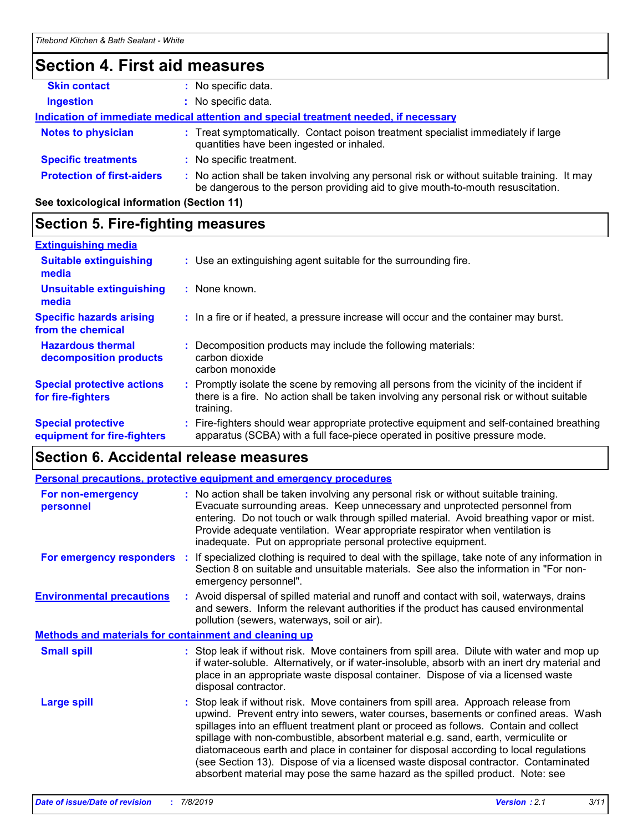# **Section 4. First aid measures**

| <b>Skin contact</b>                                                                  | No specific data.                                                                                                                                                             |  |  |
|--------------------------------------------------------------------------------------|-------------------------------------------------------------------------------------------------------------------------------------------------------------------------------|--|--|
| <b>Ingestion</b>                                                                     | No specific data.                                                                                                                                                             |  |  |
| Indication of immediate medical attention and special treatment needed, if necessary |                                                                                                                                                                               |  |  |
| <b>Notes to physician</b>                                                            | : Treat symptomatically. Contact poison treatment specialist immediately if large<br>quantities have been ingested or inhaled.                                                |  |  |
| <b>Specific treatments</b>                                                           | : No specific treatment.                                                                                                                                                      |  |  |
| <b>Protection of first-aiders</b>                                                    | : No action shall be taken involving any personal risk or without suitable training. It may<br>be dangerous to the person providing aid to give mouth-to-mouth resuscitation. |  |  |

**See toxicological information (Section 11)**

### **Section 5. Fire-fighting measures**

| <b>Extinguishing media</b>                               |                                                                                                                                                                                                   |
|----------------------------------------------------------|---------------------------------------------------------------------------------------------------------------------------------------------------------------------------------------------------|
| <b>Suitable extinguishing</b><br>media                   | : Use an extinguishing agent suitable for the surrounding fire.                                                                                                                                   |
| <b>Unsuitable extinguishing</b><br>media                 | : None known.                                                                                                                                                                                     |
| <b>Specific hazards arising</b><br>from the chemical     | : In a fire or if heated, a pressure increase will occur and the container may burst.                                                                                                             |
| <b>Hazardous thermal</b><br>decomposition products       | Decomposition products may include the following materials:<br>carbon dioxide<br>carbon monoxide                                                                                                  |
| <b>Special protective actions</b><br>for fire-fighters   | Promptly isolate the scene by removing all persons from the vicinity of the incident if<br>there is a fire. No action shall be taken involving any personal risk or without suitable<br>training. |
| <b>Special protective</b><br>equipment for fire-fighters | : Fire-fighters should wear appropriate protective equipment and self-contained breathing<br>apparatus (SCBA) with a full face-piece operated in positive pressure mode.                          |

### **Section 6. Accidental release measures**

|                                                              |    | Personal precautions, protective equipment and emergency procedures                                                                                                                                                                                                                                                                                                                                                                                                                                                                                                                                                        |  |  |  |
|--------------------------------------------------------------|----|----------------------------------------------------------------------------------------------------------------------------------------------------------------------------------------------------------------------------------------------------------------------------------------------------------------------------------------------------------------------------------------------------------------------------------------------------------------------------------------------------------------------------------------------------------------------------------------------------------------------------|--|--|--|
| <b>For non-emergency</b><br>personnel                        |    | : No action shall be taken involving any personal risk or without suitable training.<br>Evacuate surrounding areas. Keep unnecessary and unprotected personnel from<br>entering. Do not touch or walk through spilled material. Avoid breathing vapor or mist.<br>Provide adequate ventilation. Wear appropriate respirator when ventilation is<br>inadequate. Put on appropriate personal protective equipment.                                                                                                                                                                                                           |  |  |  |
| For emergency responders                                     | ÷. | If specialized clothing is required to deal with the spillage, take note of any information in<br>Section 8 on suitable and unsuitable materials. See also the information in "For non-<br>emergency personnel".                                                                                                                                                                                                                                                                                                                                                                                                           |  |  |  |
| <b>Environmental precautions</b>                             |    | : Avoid dispersal of spilled material and runoff and contact with soil, waterways, drains<br>and sewers. Inform the relevant authorities if the product has caused environmental<br>pollution (sewers, waterways, soil or air).                                                                                                                                                                                                                                                                                                                                                                                            |  |  |  |
| <b>Methods and materials for containment and cleaning up</b> |    |                                                                                                                                                                                                                                                                                                                                                                                                                                                                                                                                                                                                                            |  |  |  |
| <b>Small spill</b>                                           |    | : Stop leak if without risk. Move containers from spill area. Dilute with water and mop up<br>if water-soluble. Alternatively, or if water-insoluble, absorb with an inert dry material and<br>place in an appropriate waste disposal container. Dispose of via a licensed waste<br>disposal contractor.                                                                                                                                                                                                                                                                                                                   |  |  |  |
| <b>Large spill</b>                                           |    | : Stop leak if without risk. Move containers from spill area. Approach release from<br>upwind. Prevent entry into sewers, water courses, basements or confined areas. Wash<br>spillages into an effluent treatment plant or proceed as follows. Contain and collect<br>spillage with non-combustible, absorbent material e.g. sand, earth, vermiculite or<br>diatomaceous earth and place in container for disposal according to local regulations<br>(see Section 13). Dispose of via a licensed waste disposal contractor. Contaminated<br>absorbent material may pose the same hazard as the spilled product. Note: see |  |  |  |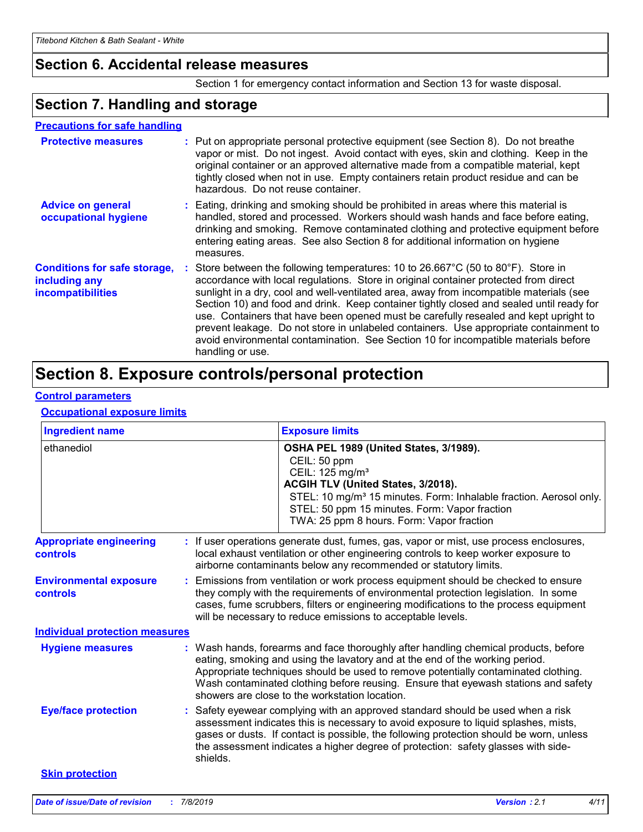### **Section 6. Accidental release measures**

Section 1 for emergency contact information and Section 13 for waste disposal.

### **Section 7. Handling and storage**

#### **Precautions for safe handling**

| <b>Protective measures</b>                                                       | : Put on appropriate personal protective equipment (see Section 8). Do not breathe<br>vapor or mist. Do not ingest. Avoid contact with eyes, skin and clothing. Keep in the<br>original container or an approved alternative made from a compatible material, kept<br>tightly closed when not in use. Empty containers retain product residue and can be<br>hazardous. Do not reuse container.                                                                                                                                                                                                                                                             |
|----------------------------------------------------------------------------------|------------------------------------------------------------------------------------------------------------------------------------------------------------------------------------------------------------------------------------------------------------------------------------------------------------------------------------------------------------------------------------------------------------------------------------------------------------------------------------------------------------------------------------------------------------------------------------------------------------------------------------------------------------|
| <b>Advice on general</b><br>occupational hygiene                                 | : Eating, drinking and smoking should be prohibited in areas where this material is<br>handled, stored and processed. Workers should wash hands and face before eating,<br>drinking and smoking. Remove contaminated clothing and protective equipment before<br>entering eating areas. See also Section 8 for additional information on hygiene<br>measures.                                                                                                                                                                                                                                                                                              |
| <b>Conditions for safe storage,</b><br>including any<br><b>incompatibilities</b> | Store between the following temperatures: 10 to 26.667°C (50 to 80°F). Store in<br>accordance with local regulations. Store in original container protected from direct<br>sunlight in a dry, cool and well-ventilated area, away from incompatible materials (see<br>Section 10) and food and drink. Keep container tightly closed and sealed until ready for<br>use. Containers that have been opened must be carefully resealed and kept upright to<br>prevent leakage. Do not store in unlabeled containers. Use appropriate containment to<br>avoid environmental contamination. See Section 10 for incompatible materials before<br>handling or use. |

# **Section 8. Exposure controls/personal protection**

#### **Control parameters**

#### **Occupational exposure limits**

| <b>Ingredient name</b>                     | <b>Exposure limits</b>                                                                                                                                                                                                                                                                                                                                                                          |  |
|--------------------------------------------|-------------------------------------------------------------------------------------------------------------------------------------------------------------------------------------------------------------------------------------------------------------------------------------------------------------------------------------------------------------------------------------------------|--|
| ethanediol                                 | OSHA PEL 1989 (United States, 3/1989).<br>CEIL: 50 ppm<br>CEIL: 125 mg/m <sup>3</sup><br>ACGIH TLV (United States, 3/2018).<br>STEL: 10 mg/m <sup>3</sup> 15 minutes. Form: Inhalable fraction. Aerosol only.<br>STEL: 50 ppm 15 minutes. Form: Vapor fraction<br>TWA: 25 ppm 8 hours. Form: Vapor fraction                                                                                     |  |
| <b>Appropriate engineering</b><br>controls | : If user operations generate dust, fumes, gas, vapor or mist, use process enclosures,<br>local exhaust ventilation or other engineering controls to keep worker exposure to<br>airborne contaminants below any recommended or statutory limits.                                                                                                                                                |  |
| <b>Environmental exposure</b><br>controls  | Emissions from ventilation or work process equipment should be checked to ensure<br>they comply with the requirements of environmental protection legislation. In some<br>cases, fume scrubbers, filters or engineering modifications to the process equipment<br>will be necessary to reduce emissions to acceptable levels.                                                                   |  |
| <b>Individual protection measures</b>      |                                                                                                                                                                                                                                                                                                                                                                                                 |  |
| <b>Hygiene measures</b>                    | Wash hands, forearms and face thoroughly after handling chemical products, before<br>eating, smoking and using the lavatory and at the end of the working period.<br>Appropriate techniques should be used to remove potentially contaminated clothing.<br>Wash contaminated clothing before reusing. Ensure that eyewash stations and safety<br>showers are close to the workstation location. |  |
| <b>Eye/face protection</b>                 | Safety eyewear complying with an approved standard should be used when a risk<br>assessment indicates this is necessary to avoid exposure to liquid splashes, mists,<br>gases or dusts. If contact is possible, the following protection should be worn, unless<br>the assessment indicates a higher degree of protection: safety glasses with side-<br>shields.                                |  |
| <b>Skin protection</b>                     |                                                                                                                                                                                                                                                                                                                                                                                                 |  |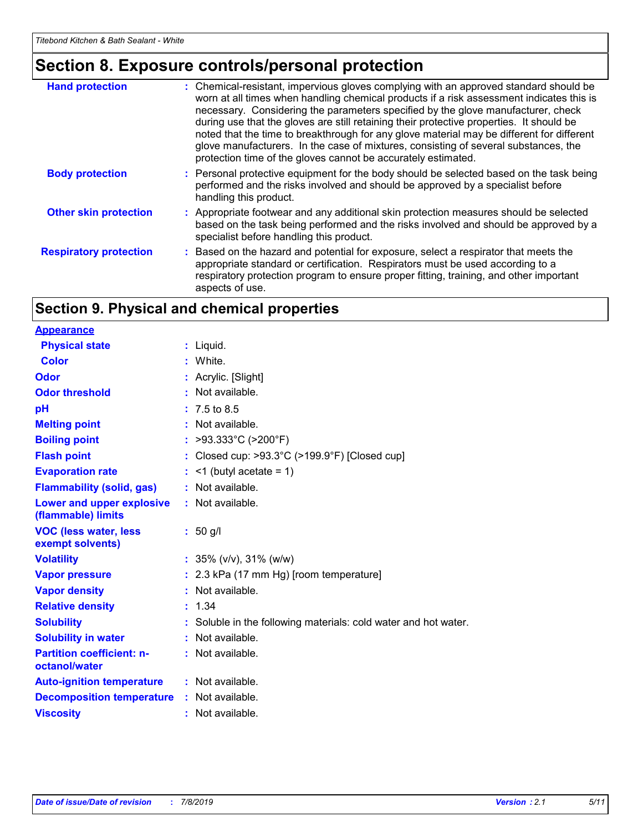# **Section 8. Exposure controls/personal protection**

| <b>Hand protection</b>        | : Chemical-resistant, impervious gloves complying with an approved standard should be<br>worn at all times when handling chemical products if a risk assessment indicates this is<br>necessary. Considering the parameters specified by the glove manufacturer, check<br>during use that the gloves are still retaining their protective properties. It should be<br>noted that the time to breakthrough for any glove material may be different for different<br>glove manufacturers. In the case of mixtures, consisting of several substances, the<br>protection time of the gloves cannot be accurately estimated. |
|-------------------------------|------------------------------------------------------------------------------------------------------------------------------------------------------------------------------------------------------------------------------------------------------------------------------------------------------------------------------------------------------------------------------------------------------------------------------------------------------------------------------------------------------------------------------------------------------------------------------------------------------------------------|
| <b>Body protection</b>        | : Personal protective equipment for the body should be selected based on the task being<br>performed and the risks involved and should be approved by a specialist before<br>handling this product.                                                                                                                                                                                                                                                                                                                                                                                                                    |
| <b>Other skin protection</b>  | : Appropriate footwear and any additional skin protection measures should be selected<br>based on the task being performed and the risks involved and should be approved by a<br>specialist before handling this product.                                                                                                                                                                                                                                                                                                                                                                                              |
| <b>Respiratory protection</b> | : Based on the hazard and potential for exposure, select a respirator that meets the<br>appropriate standard or certification. Respirators must be used according to a<br>respiratory protection program to ensure proper fitting, training, and other important<br>aspects of use.                                                                                                                                                                                                                                                                                                                                    |

### **Section 9. Physical and chemical properties**

| <b>Appearance</b>                                 |                                                                 |
|---------------------------------------------------|-----------------------------------------------------------------|
| <b>Physical state</b>                             | : Liquid.                                                       |
| <b>Color</b>                                      | : White.                                                        |
| Odor                                              | : Acrylic. [Slight]                                             |
| <b>Odor threshold</b>                             | : Not available.                                                |
| рH                                                | $: 7.5 \text{ to } 8.5$                                         |
| <b>Melting point</b>                              | : Not available.                                                |
| <b>Boiling point</b>                              | : >93.333°C (>200°F)                                            |
| <b>Flash point</b>                                | : Closed cup: >93.3°C (>199.9°F) [Closed cup]                   |
| <b>Evaporation rate</b>                           | $\leq$ 1 (butyl acetate = 1)                                    |
| <b>Flammability (solid, gas)</b>                  | : Not available.                                                |
| Lower and upper explosive<br>(flammable) limits   | $:$ Not available.                                              |
| <b>VOC (less water, less</b><br>exempt solvents)  | $: 50$ g/l                                                      |
| <b>Volatility</b>                                 | : $35\%$ (v/v), $31\%$ (w/w)                                    |
| <b>Vapor pressure</b>                             | : 2.3 kPa (17 mm Hg) [room temperature]                         |
| <b>Vapor density</b>                              | : Not available.                                                |
| <b>Relative density</b>                           | : 1.34                                                          |
| <b>Solubility</b>                                 | : Soluble in the following materials: cold water and hot water. |
| <b>Solubility in water</b>                        | : Not available.                                                |
| <b>Partition coefficient: n-</b><br>octanol/water | $:$ Not available.                                              |
| <b>Auto-ignition temperature</b>                  | : Not available.                                                |
| <b>Decomposition temperature</b>                  | : Not available.                                                |
| <b>Viscosity</b>                                  | : Not available.                                                |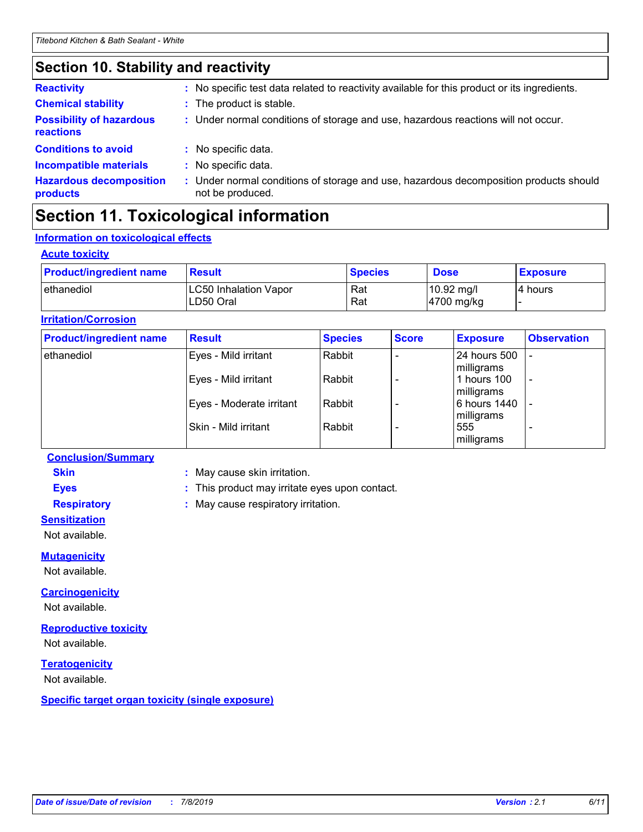# **Section 10. Stability and reactivity**

| <b>Chemical stability</b><br>: The product is stable.<br><b>Possibility of hazardous</b><br>: Under normal conditions of storage and use, hazardous reactions will not occur.<br><b>reactions</b><br><b>Conditions to avoid</b><br>: No specific data.<br><b>Incompatible materials</b><br>: No specific data.<br><b>Hazardous decomposition</b><br>: Under normal conditions of storage and use, hazardous decomposition products should<br>not be produced.<br>products | <b>Reactivity</b> | : No specific test data related to reactivity available for this product or its ingredients. |
|---------------------------------------------------------------------------------------------------------------------------------------------------------------------------------------------------------------------------------------------------------------------------------------------------------------------------------------------------------------------------------------------------------------------------------------------------------------------------|-------------------|----------------------------------------------------------------------------------------------|
|                                                                                                                                                                                                                                                                                                                                                                                                                                                                           |                   |                                                                                              |
|                                                                                                                                                                                                                                                                                                                                                                                                                                                                           |                   |                                                                                              |
|                                                                                                                                                                                                                                                                                                                                                                                                                                                                           |                   |                                                                                              |
|                                                                                                                                                                                                                                                                                                                                                                                                                                                                           |                   |                                                                                              |
|                                                                                                                                                                                                                                                                                                                                                                                                                                                                           |                   |                                                                                              |

# **Section 11. Toxicological information**

### **Information on toxicological effects**

#### **Acute toxicity**

| <b>Product/ingredient name</b> | <b>Result</b>                             | <b>Species</b> | <b>Dose</b>                        | <b>Exposure</b> |
|--------------------------------|-------------------------------------------|----------------|------------------------------------|-----------------|
| I ethanediol                   | <b>LC50 Inhalation Vapor</b><br>LD50 Oral | Rat<br>Rat     | $10.92 \text{ mg/l}$<br>4700 mg/kg | l4 hours        |

#### **Irritation/Corrosion**

| <b>Product/ingredient name</b> | <b>Result</b>            | <b>Species</b> | <b>Score</b> | <b>Exposure</b>            | <b>Observation</b>       |
|--------------------------------|--------------------------|----------------|--------------|----------------------------|--------------------------|
| ethanediol                     | Eyes - Mild irritant     | Rabbit         |              | 24 hours 500<br>milligrams |                          |
|                                | Eyes - Mild irritant     | Rabbit         |              | 1 hours 100<br>milligrams  | $\overline{\phantom{a}}$ |
|                                | Eyes - Moderate irritant | Rabbit         |              | 6 hours 1440<br>milligrams |                          |
|                                | Skin - Mild irritant     | Rabbit         |              | 555<br>milligrams          |                          |

#### **Conclusion/Summary**

**Skin :** May cause skin irritation.

**Eyes :** This product may irritate eyes upon contact.

**Respiratory :** May cause respiratory irritation.

**Sensitization**

Not available.

#### **Mutagenicity**

Not available.

#### **Carcinogenicity**

Not available.

#### **Reproductive toxicity**

Not available.

#### **Teratogenicity**

Not available.

**Specific target organ toxicity (single exposure)**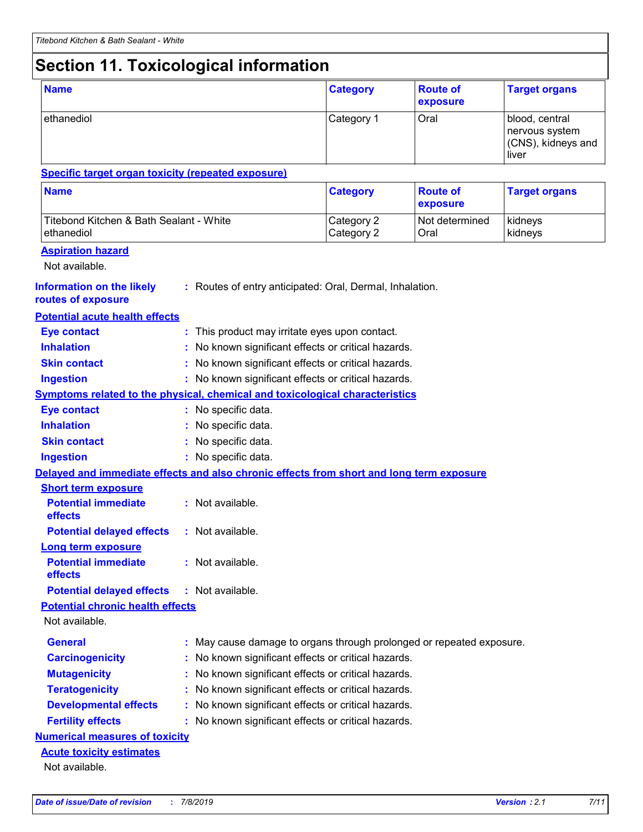# **Section 11. Toxicological information**

| <b>Name</b>                                                                              |  | <b>Category</b>                                                      | <b>Route of</b><br>exposure | <b>Target organs</b>        |                                                                 |
|------------------------------------------------------------------------------------------|--|----------------------------------------------------------------------|-----------------------------|-----------------------------|-----------------------------------------------------------------|
| ethanediol                                                                               |  |                                                                      | Category 1                  | Oral                        | blood, central<br>nervous system<br>(CNS), kidneys and<br>liver |
| <b>Specific target organ toxicity (repeated exposure)</b>                                |  |                                                                      |                             |                             |                                                                 |
| <b>Name</b>                                                                              |  |                                                                      | <b>Category</b>             | <b>Route of</b><br>exposure | <b>Target organs</b>                                            |
| Titebond Kitchen & Bath Sealant - White<br>ethanediol                                    |  |                                                                      | Category 2<br>Category 2    | Not determined<br>Oral      | kidneys<br>kidneys                                              |
| <b>Aspiration hazard</b><br>Not available.                                               |  |                                                                      |                             |                             |                                                                 |
| <b>Information on the likely</b><br>routes of exposure                                   |  | : Routes of entry anticipated: Oral, Dermal, Inhalation.             |                             |                             |                                                                 |
| <b>Potential acute health effects</b>                                                    |  |                                                                      |                             |                             |                                                                 |
| <b>Eye contact</b>                                                                       |  | : This product may irritate eyes upon contact.                       |                             |                             |                                                                 |
| <b>Inhalation</b>                                                                        |  | : No known significant effects or critical hazards.                  |                             |                             |                                                                 |
| <b>Skin contact</b>                                                                      |  | : No known significant effects or critical hazards.                  |                             |                             |                                                                 |
| <b>Ingestion</b>                                                                         |  | : No known significant effects or critical hazards.                  |                             |                             |                                                                 |
| <b>Symptoms related to the physical, chemical and toxicological characteristics</b>      |  |                                                                      |                             |                             |                                                                 |
| <b>Eye contact</b>                                                                       |  | : No specific data.                                                  |                             |                             |                                                                 |
| <b>Inhalation</b>                                                                        |  | : No specific data.                                                  |                             |                             |                                                                 |
| <b>Skin contact</b>                                                                      |  | : No specific data.                                                  |                             |                             |                                                                 |
| <b>Ingestion</b>                                                                         |  | : No specific data.                                                  |                             |                             |                                                                 |
| Delayed and immediate effects and also chronic effects from short and long term exposure |  |                                                                      |                             |                             |                                                                 |
| <b>Short term exposure</b>                                                               |  |                                                                      |                             |                             |                                                                 |
| <b>Potential immediate</b><br>effects                                                    |  | : Not available.                                                     |                             |                             |                                                                 |
| <b>Potential delayed effects</b>                                                         |  | : Not available.                                                     |                             |                             |                                                                 |
| Long term exposure                                                                       |  |                                                                      |                             |                             |                                                                 |
| <b>Potential immediate</b><br>effects                                                    |  | : Not available.                                                     |                             |                             |                                                                 |
| <b>Potential delayed effects</b>                                                         |  | : Not available.                                                     |                             |                             |                                                                 |
| <b>Potential chronic health effects</b>                                                  |  |                                                                      |                             |                             |                                                                 |
| Not available.                                                                           |  |                                                                      |                             |                             |                                                                 |
| <b>General</b>                                                                           |  | : May cause damage to organs through prolonged or repeated exposure. |                             |                             |                                                                 |
| <b>Carcinogenicity</b>                                                                   |  | : No known significant effects or critical hazards.                  |                             |                             |                                                                 |
| <b>Mutagenicity</b>                                                                      |  | : No known significant effects or critical hazards.                  |                             |                             |                                                                 |
| <b>Teratogenicity</b>                                                                    |  | No known significant effects or critical hazards.                    |                             |                             |                                                                 |
| <b>Developmental effects</b>                                                             |  | No known significant effects or critical hazards.                    |                             |                             |                                                                 |
| <b>Fertility effects</b>                                                                 |  | : No known significant effects or critical hazards.                  |                             |                             |                                                                 |
| <b>Numerical measures of toxicity</b>                                                    |  |                                                                      |                             |                             |                                                                 |
| <b>Acute toxicity estimates</b>                                                          |  |                                                                      |                             |                             |                                                                 |
| Not available.                                                                           |  |                                                                      |                             |                             |                                                                 |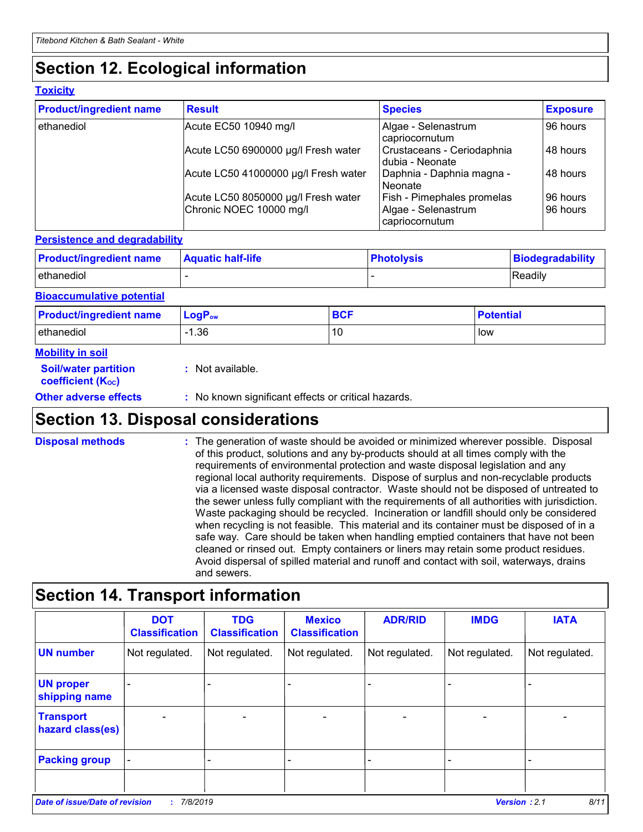# **Section 12. Ecological information**

#### **Toxicity**

| <b>Product/ingredient name</b> | <b>Result</b>                                                  | <b>Species</b>                                                             | <b>Exposure</b>      |
|--------------------------------|----------------------------------------------------------------|----------------------------------------------------------------------------|----------------------|
| ethanediol                     | Acute EC50 10940 mg/l                                          | Algae - Selenastrum<br>capriocornutum                                      | 96 hours             |
|                                | Acute LC50 6900000 µg/l Fresh water                            | Crustaceans - Ceriodaphnia<br>dubia - Neonate                              | 48 hours             |
|                                | Acute LC50 41000000 µg/l Fresh water                           | Daphnia - Daphnia magna -<br>Neonate                                       | 48 hours             |
|                                | Acute LC50 8050000 µg/l Fresh water<br>Chronic NOEC 10000 mg/l | <b>Fish - Pimephales promelas</b><br>Algae - Selenastrum<br>capriocornutum | 96 hours<br>96 hours |

#### **Persistence and degradability**

| <b>Product/ingredient name</b> | <b>Aquatic half-life</b> | ∣ Photolysis | Biodegradability |
|--------------------------------|--------------------------|--------------|------------------|
| <b>l</b> ethanediol            |                          |              | <b>Readily</b>   |

#### **Bioaccumulative potential**

| <b>Product/ingredient name</b> | $\mathsf{LogP}_\mathsf{ow}$ | <b>BCF</b> | <b>Potential</b> |
|--------------------------------|-----------------------------|------------|------------------|
| lethanediol                    | .36،                        | 10         | low              |

#### **Mobility in soil**

| <b>Soil/water partition</b><br>coefficient (K <sub>oc</sub> ) | : Not available.                                    |
|---------------------------------------------------------------|-----------------------------------------------------|
| <b>Other adverse effects</b>                                  | : No known significant effects or critical hazards. |

### **Section 13. Disposal considerations**

The generation of waste should be avoided or minimized wherever possible. Disposal of this product, solutions and any by-products should at all times comply with the requirements of environmental protection and waste disposal legislation and any regional local authority requirements. Dispose of surplus and non-recyclable products via a licensed waste disposal contractor. Waste should not be disposed of untreated to the sewer unless fully compliant with the requirements of all authorities with jurisdiction. Waste packaging should be recycled. Incineration or landfill should only be considered when recycling is not feasible. This material and its container must be disposed of in a safe way. Care should be taken when handling emptied containers that have not been cleaned or rinsed out. Empty containers or liners may retain some product residues. Avoid dispersal of spilled material and runoff and contact with soil, waterways, drains and sewers. **Disposal methods :**

### **Section 14. Transport information**

|                                      | <b>DOT</b><br><b>Classification</b> | <b>TDG</b><br><b>Classification</b> | <b>Mexico</b><br><b>Classification</b> | <b>ADR/RID</b> | <b>IMDG</b>              | <b>IATA</b>    |
|--------------------------------------|-------------------------------------|-------------------------------------|----------------------------------------|----------------|--------------------------|----------------|
| <b>UN number</b>                     | Not regulated.                      | Not regulated.                      | Not regulated.                         | Not regulated. | Not regulated.           | Not regulated. |
| <b>UN proper</b><br>shipping name    |                                     |                                     |                                        |                |                          |                |
| <b>Transport</b><br>hazard class(es) |                                     |                                     |                                        |                | $\overline{\phantom{0}}$ |                |
| <b>Packing group</b>                 | $\blacksquare$                      |                                     |                                        |                |                          | -              |
|                                      |                                     |                                     |                                        |                |                          |                |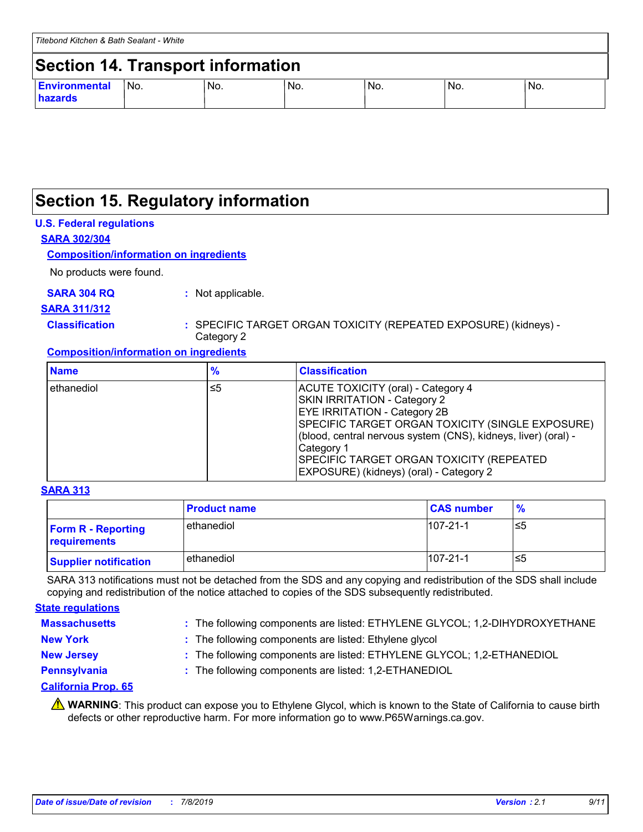### **Section 15. Regulatory information**

#### **U.S. Federal regulations**

**SARA 302/304**

#### **Composition/information on ingredients**

No products were found.

#### **SARA 304 RQ :** Not applicable.

### **SARA 311/312**

**Classification :** SPECIFIC TARGET ORGAN TOXICITY (REPEATED EXPOSURE) (kidneys) - Category 2

#### **Composition/information on ingredients**

| <b>Name</b>  | %  | <b>Classification</b>                                                                                                                                                                                                                                                                                                                       |
|--------------|----|---------------------------------------------------------------------------------------------------------------------------------------------------------------------------------------------------------------------------------------------------------------------------------------------------------------------------------------------|
| l ethanediol | ≤5 | ACUTE TOXICITY (oral) - Category 4<br><b>SKIN IRRITATION - Category 2</b><br><b>EYE IRRITATION - Category 2B</b><br>SPECIFIC TARGET ORGAN TOXICITY (SINGLE EXPOSURE)<br>(blood, central nervous system (CNS), kidneys, liver) (oral) -<br>Category 1<br>SPECIFIC TARGET ORGAN TOXICITY (REPEATED<br>EXPOSURE) (kidneys) (oral) - Category 2 |

#### **SARA 313**

|                                           | <b>Product name</b> | <b>CAS number</b> | $\frac{9}{6}$ |
|-------------------------------------------|---------------------|-------------------|---------------|
| <b>Form R - Reporting</b><br>requirements | ethanediol          | $107 - 21 - 1$    | ≤5            |
| <b>Supplier notification</b>              | ethanediol          | $107 - 21 - 1$    | ≤5            |

SARA 313 notifications must not be detached from the SDS and any copying and redistribution of the SDS shall include copying and redistribution of the notice attached to copies of the SDS subsequently redistributed.

#### **Massachusetts : State regulations**

- : The following components are listed: ETHYLENE GLYCOL; 1,2-DIHYDROXYETHANE
- 
- **New York :** The following components are listed: Ethylene glycol
- 
- **New Jersey :** The following components are listed: ETHYLENE GLYCOL; 1,2-ETHANEDIOL
- 
- **Pennsylvania :** The following components are listed: 1,2-ETHANEDIOL

#### **California Prop. 65**

WARNING: This product can expose you to Ethylene Glycol, which is known to the State of California to cause birth defects or other reproductive harm. For more information go to www.P65Warnings.ca.gov.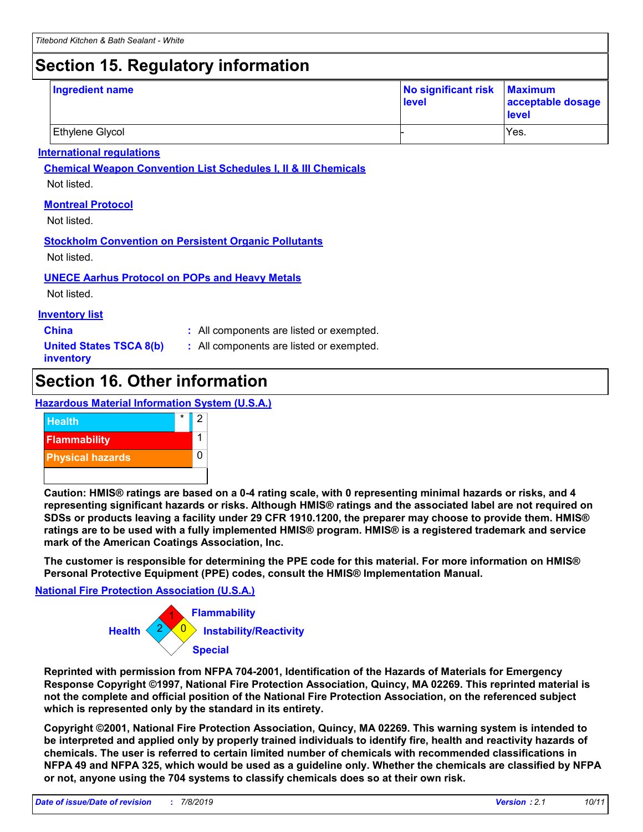# **Section 15. Regulatory information**

| Ingredient name        | No significant risk Maximum<br>level | acceptable dosage<br>level |
|------------------------|--------------------------------------|----------------------------|
| <b>Ethylene Glycol</b> |                                      | Yes.                       |

#### **International regulations**

**Chemical Weapon Convention List Schedules I, II & III Chemicals**

Not listed.

#### **Montreal Protocol**

Not listed.

### **Stockholm Convention on Persistent Organic Pollutants**

Not listed.

#### **UNECE Aarhus Protocol on POPs and Heavy Metals**

Not listed.

#### **Inventory list**

**China :** All components are listed or exempted.

**United States TSCA 8(b) inventory**

**:** All components are listed or exempted.

# **Section 16. Other information**

#### **Hazardous Material Information System (U.S.A.)**



**Caution: HMIS® ratings are based on a 0-4 rating scale, with 0 representing minimal hazards or risks, and 4 representing significant hazards or risks. Although HMIS® ratings and the associated label are not required on SDSs or products leaving a facility under 29 CFR 1910.1200, the preparer may choose to provide them. HMIS® ratings are to be used with a fully implemented HMIS® program. HMIS® is a registered trademark and service mark of the American Coatings Association, Inc.**

**The customer is responsible for determining the PPE code for this material. For more information on HMIS® Personal Protective Equipment (PPE) codes, consult the HMIS® Implementation Manual.**

#### **National Fire Protection Association (U.S.A.)**



**Reprinted with permission from NFPA 704-2001, Identification of the Hazards of Materials for Emergency Response Copyright ©1997, National Fire Protection Association, Quincy, MA 02269. This reprinted material is not the complete and official position of the National Fire Protection Association, on the referenced subject which is represented only by the standard in its entirety.**

**Copyright ©2001, National Fire Protection Association, Quincy, MA 02269. This warning system is intended to be interpreted and applied only by properly trained individuals to identify fire, health and reactivity hazards of chemicals. The user is referred to certain limited number of chemicals with recommended classifications in NFPA 49 and NFPA 325, which would be used as a guideline only. Whether the chemicals are classified by NFPA or not, anyone using the 704 systems to classify chemicals does so at their own risk.**